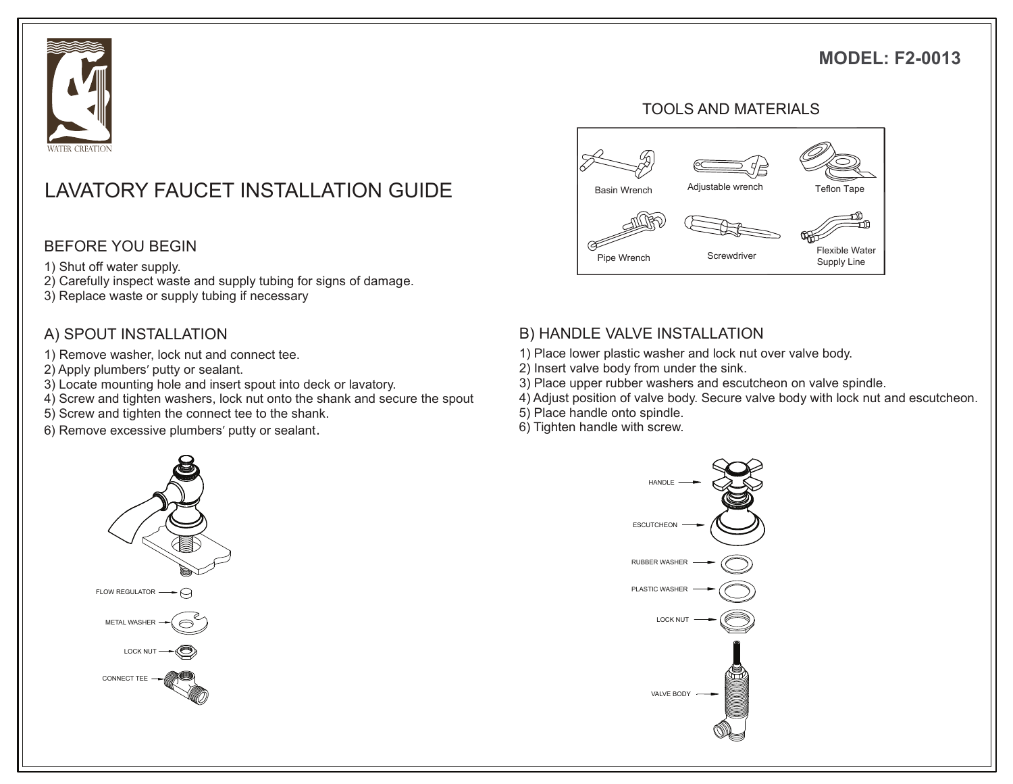## **MODEL: F2-0013**



# LAVATORY FAUCET INSTALLATION GUIDE The asin Wrench Adjustable wrench Teflon Tape

#### BEFORE YOU BEGIN

- 1) Shut off water supply.
- 2) Carefully inspect waste and supply tubing for signs of damage.
- 3) Replace waste or supply tubing if necessary

#### A) SPOUT INSTALLATION

- 1) Remove washer, lock nut and connect tee.
- 2) Apply plumbers' putty or sealant.
- 3) Locate mounting hole and insert spout into deck or lavatory.
- 4) Screw and tighten washers, lock nut onto the shank and secure the spout
- 5) Screw and tighten the connect tee to the shank.
- 6) Remove excessive plumbers' putty or sealant.



# B) HANDLE VALVE INSTALLATION

- 1) Place lower plastic washer and lock nut over valve body.
- 2) Insert valve body from under the sink.
- 3) Place upper rubber washers and escutcheon on valve spindle.
- 4) Adjust position of valve body. Secure valve body with lock nut and escutcheon.
- 5) Place handle onto spindle.
- 6) Tighten handle with screw.



#### TOOLS AND MATERIALS